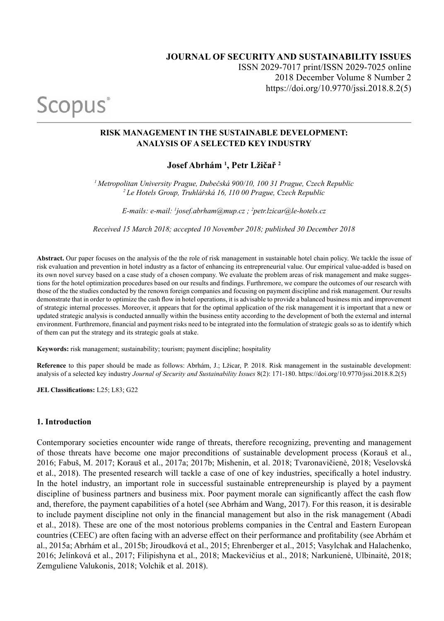# **JOURNAL OF SECURITY AND SUSTAINABILITY ISSUES** ISSN 2029-7017 print/ISSN 2029-7025 online 2018 December Volume 8 Number 2 https://doi.org/10.9770/jssi.2018.8.2(5)

#### **RISK MANAGEMENT IN THE SUSTAINABLE DEVELOPMENT: ANALYSIS OF A SELECTED KEY INDUSTRY**

## **Josef Abrhám 1 , Petr Lžičař <sup>2</sup>**

*<sup>1</sup>Metropolitan University Prague, Dubečská 900/10, 100 31 Prague, Czech Republic <sup>2</sup>Le Hotels Group, Truhlářská 16, 110 00 Prague, Czech Republic*

*E-mails: e-mail: 1 josef.abrham@mup.cz ; <sup>2</sup> petr.lzicar@le-hotels.cz* 

*Received 15 March 2018; accepted 10 November 2018; published 30 December 2018*

**Abstract.** Our paper focuses on the analysis of the the role of risk management in sustainable hotel chain policy. We tackle the issue of risk evaluation and prevention in hotel industry as a factor of enhancing its entrepreneurial value. Our empirical value-added is based on its own novel survey based on a case study of a chosen company. We evaluate the problem areas of risk management and make suggestions for the hotel optimization procedures based on our results and findings. Furthremore, we compare the outcomes of our research with those of the the studies conducted by the renown foreign companies and focusing on payment discipline and risk management. Our results demonstrate that in order to optimize the cash flow in hotel operations, it is advisable to provide a balanced business mix and improvement of strategic internal processes. Moreover, it appears that for the optimal application of the risk management it is important that a new or updated strategic analysis is conducted annually within the business entity according to the development of both the external and internal environment. Furthremore, financial and payment risks need to be integrated into the formulation of strategic goals so as to identify which of them can put the strategy and its strategic goals at stake.

**Keywords:** risk management; sustainability; tourism; payment discipline; hospitality

**Reference** to this paper should be made as follows: Abrhám, J.; Lžicar, P. 2018. Risk management in the sustainable development: analysis of a selected key industry *Journal of Security and Sustainability Issues* 8(2): 171-180. https://doi.org/10.9770/jssi.2018.8.2(5)

**JEL Classifications:** L25; L83; G22

Scopus<sup>®</sup>

#### **1. Introduction**

Contemporary societies encounter wide range of threats, therefore recognizing, preventing and management of those threats have become one major preconditions of sustainable development process (Korauš et al., 2016; Fabuš, M. 2017; Korauš et al., 2017a; 2017b; Mishenin, et al. 2018; Tvaronavičienė, 2018; Veselovská et al., 2018). The presented research will tackle a case of one of key industries, specifically a hotel industry. In the hotel industry, an important role in successful sustainable entrepreneurship is played by a payment discipline of business partners and business mix. Poor payment morale can significantly affect the cash flow and, therefore, the payment capabilities of a hotel (see Abrhám and Wang, 2017). For this reason, it is desirable to include payment discipline not only in the financial management but also in the risk management (Abadi et al., 2018). These are one of the most notorious problems companies in the Central and Eastern European countries (CEEC) are often facing with an adverse effect on their performance and profitability (see Abrhám et al., 2015a; Abrhám et al., 2015b; Jiroudková et al., 2015; Ehrenberger et al., 2015; Vasylchak and Halachenko, 2016; Jelínková et al., 2017; Filipishyna et al., 2018; Mackevičius et al., 2018; Narkunienė, Ulbinaitė, 2018; Zemguliene Valukonis, 2018; Volchik et al. 2018).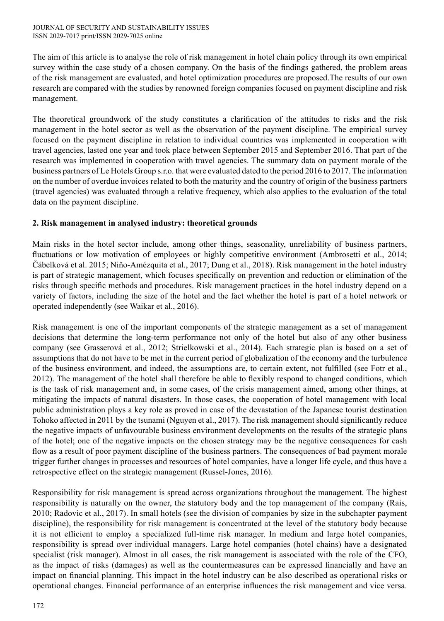The aim of this article is to analyse the role of risk management in hotel chain policy through its own empirical survey within the case study of a chosen company. On the basis of the findings gathered, the problem areas of the risk management are evaluated, and hotel optimization procedures are proposed.The results of our own research are compared with the studies by renowned foreign companies focused on payment discipline and risk management.

The theoretical groundwork of the study constitutes a clarification of the attitudes to risks and the risk management in the hotel sector as well as the observation of the payment discipline. The empirical survey focused on the payment discipline in relation to individual countries was implemented in cooperation with travel agencies, lasted one year and took place between September 2015 and September 2016. That part of the research was implemented in cooperation with travel agencies. The summary data on payment morale of the business partners of Le Hotels Group s.r.o. that were evaluated dated to the period 2016 to 2017. The information on the number of overdue invoices related to both the maturity and the country of origin of the business partners (travel agencies) was evaluated through a relative frequency, which also applies to the evaluation of the total data on the payment discipline.

## **2. Risk management in analysed industry: theoretical grounds**

Main risks in the hotel sector include, among other things, seasonality, unreliability of business partners, fluctuations or low motivation of employees or highly competitive environment (Ambrosetti et al., 2014; Čábelková et al. 2015; Niño-Amézquita et al., 2017; Dung et al., 2018). Risk management in the hotel industry is part of strategic management, which focuses specifically on prevention and reduction or elimination of the risks through specific methods and procedures. Risk management practices in the hotel industry depend on a variety of factors, including the size of the hotel and the fact whether the hotel is part of a hotel network or operated independently (see Waikar et al., 2016).

Risk management is one of the important components of the strategic management as a set of management decisions that determine the long-term performance not only of the hotel but also of any other business company (see Grasserová et al., 2012; Strielkowski et al., 2014). Each strategic plan is based on a set of assumptions that do not have to be met in the current period of globalization of the economy and the turbulence of the business environment, and indeed, the assumptions are, to certain extent, not fulfilled (see Fotr et al., 2012). The management of the hotel shall therefore be able to flexibly respond to changed conditions, which is the task of risk management and, in some cases, of the crisis management aimed, among other things, at mitigating the impacts of natural disasters. In those cases, the cooperation of hotel management with local public administration plays a key role as proved in case of the devastation of the Japanese tourist destination Tohoko affected in 2011 by the tsunami (Nguyen et al., 2017). The risk management should significantly reduce the negative impacts of unfavourable business environment developments on the results of the strategic plans of the hotel; one of the negative impacts on the chosen strategy may be the negative consequences for cash flow as a result of poor payment discipline of the business partners. The consequences of bad payment morale trigger further changes in processes and resources of hotel companies, have a longer life cycle, and thus have a retrospective effect on the strategic management (Russel-Jones, 2016).

Responsibility for risk management is spread across organizations throughout the management. The highest responsibility is naturally on the owner, the statutory body and the top management of the company (Rais, 2010; Radovic et al., 2017). In small hotels (see the division of companies by size in the subchapter payment discipline), the responsibility for risk management is concentrated at the level of the statutory body because it is not efficient to employ a specialized full-time risk manager. In medium and large hotel companies, responsibility is spread over individual managers. Large hotel companies (hotel chains) have a designated specialist (risk manager). Almost in all cases, the risk management is associated with the role of the CFO, as the impact of risks (damages) as well as the countermeasures can be expressed financially and have an impact on financial planning. This impact in the hotel industry can be also described as operational risks or operational changes. Financial performance of an enterprise influences the risk management and vice versa.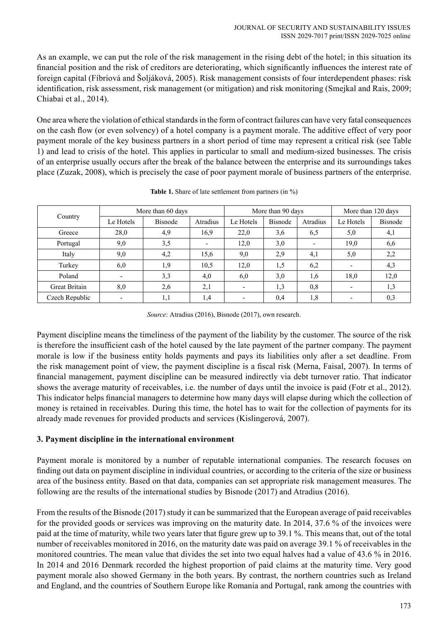As an example, we can put the role of the risk management in the rising debt of the hotel; in this situation its financial position and the risk of creditors are deteriorating, which significantly influences the interest rate of foreign capital (Fíbriová and Šoljáková, 2005). Risk management consists of four interdependent phases: risk identification, risk assessment, risk management (or mitigation) and risk monitoring (Smejkal and Rais, 2009; Chiabai et al., 2014).

One area where the violation of ethical standards in the form of contract failures can have very fatal consequences on the cash flow (or even solvency) of a hotel company is a payment morale. The additive effect of very poor payment morale of the key business partners in a short period of time may represent a critical risk (see Table 1) and lead to crisis of the hotel. This applies in particular to small and medium-sized businesses. The crisis of an enterprise usually occurs after the break of the balance between the enterprise and its surroundings takes place (Zuzak, 2008), which is precisely the case of poor payment morale of business partners of the enterprise.

| Country        | More than 60 days |                |          | More than 90 days        |                |                          | More than 120 days |                |
|----------------|-------------------|----------------|----------|--------------------------|----------------|--------------------------|--------------------|----------------|
|                | Le Hotels         | <b>Bisnode</b> | Atradius | Le Hotels                | <b>Bisnode</b> | Atradius                 | Le Hotels          | <b>Bisnode</b> |
| Greece         | 28,0              | 4,9            | 16,9     | 22,0                     | 3,6            | 6,5                      | 5,0                | 4,1            |
| Portugal       | 9,0               | 3,5            |          | 12,0                     | 3,0            | $\overline{\phantom{a}}$ | 19,0               | 6,6            |
| Italy          | 9,0               | 4,2            | 15,6     | 9,0                      | 2,9            | 4,1                      | 5,0                | 2,2            |
| Turkey         | 6,0               | 1,9            | 10,5     | 12,0                     | 1,5            | 6,2                      |                    | 4,3            |
| Poland         |                   | 3,3            | 4,0      | 6,0                      | 3,0            | 1,6                      | 18,0               | 12,0           |
| Great Britain  | 8,0               | 2,6            | 2,1      | $\overline{\phantom{a}}$ | 1,3            | 0,8                      |                    | 1,3            |
| Czech Republic |                   | 1,1            | 1,4      | $\overline{\phantom{0}}$ | 0.4            | 1,8                      |                    | 0,3            |

**Table 1.** Share of late settlement from partners (in %)

*Source*: Atradius (2016), Bisnode (2017), own research.

Payment discipline means the timeliness of the payment of the liability by the customer. The source of the risk is therefore the insufficient cash of the hotel caused by the late payment of the partner company. The payment morale is low if the business entity holds payments and pays its liabilities only after a set deadline. From the risk management point of view, the payment discipline is a fiscal risk (Merna, Faisal, 2007). In terms of financial management, payment discipline can be measured indirectly via debt turnover ratio. That indicator shows the average maturity of receivables, i.e. the number of days until the invoice is paid (Fotr et al., 2012). This indicator helps financial managers to determine how many days will elapse during which the collection of money is retained in receivables. During this time, the hotel has to wait for the collection of payments for its already made revenues for provided products and services (Kislingerová, 2007).

## **3. Payment discipline in the international environment**

Payment morale is monitored by a number of reputable international companies. The research focuses on finding out data on payment discipline in individual countries, or according to the criteria of the size or business area of the business entity. Based on that data, companies can set appropriate risk management measures. The following are the results of the international studies by Bisnode (2017) and Atradius (2016).

From the results of the Bisnode (2017) study it can be summarized that the European average of paid receivables for the provided goods or services was improving on the maturity date. In 2014, 37.6 % of the invoices were paid at the time of maturity, while two years later that figure grew up to 39.1 %. This means that, out of the total number of receivables monitored in 2016, on the maturity date was paid on average 39.1 % of receivables in the monitored countries. The mean value that divides the set into two equal halves had a value of 43.6 % in 2016. In 2014 and 2016 Denmark recorded the highest proportion of paid claims at the maturity time. Very good payment morale also showed Germany in the both years. By contrast, the northern countries such as Ireland and England, and the countries of Southern Europe like Romania and Portugal, rank among the countries with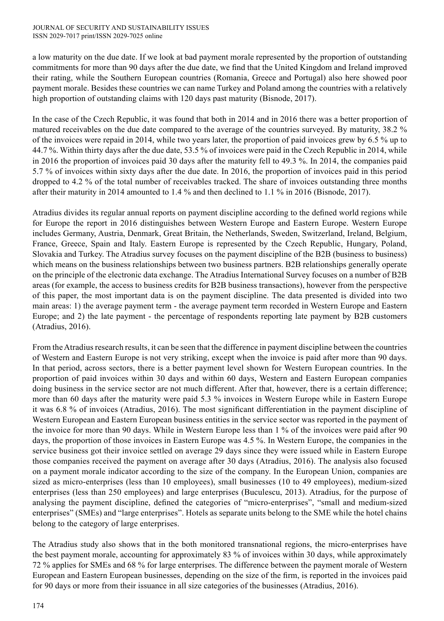a low maturity on the due date. If we look at bad payment morale represented by the proportion of outstanding commitments for more than 90 days after the due date, we find that the United Kingdom and Ireland improved their rating, while the Southern European countries (Romania, Greece and Portugal) also here showed poor payment morale. Besides these countries we can name Turkey and Poland among the countries with a relatively high proportion of outstanding claims with 120 days past maturity (Bisnode, 2017).

In the case of the Czech Republic, it was found that both in 2014 and in 2016 there was a better proportion of matured receivables on the due date compared to the average of the countries surveyed. By maturity, 38.2 % of the invoices were repaid in 2014, while two years later, the proportion of paid invoices grew by 6.5 % up to 44.7 %. Within thirty days after the due date, 53.5 % of invoices were paid in the Czech Republic in 2014, while in 2016 the proportion of invoices paid 30 days after the maturity fell to 49.3 %. In 2014, the companies paid 5.7 % of invoices within sixty days after the due date. In 2016, the proportion of invoices paid in this period dropped to 4.2 % of the total number of receivables tracked. The share of invoices outstanding three months after their maturity in 2014 amounted to 1.4 % and then declined to 1.1 % in 2016 (Bisnode, 2017).

Atradius divides its regular annual reports on payment discipline according to the defined world regions while for Europe the report in 2016 distinguishes between Western Europe and Eastern Europe. Western Europe includes Germany, Austria, Denmark, Great Britain, the Netherlands, Sweden, Switzerland, Ireland, Belgium, France, Greece, Spain and Italy. Eastern Europe is represented by the Czech Republic, Hungary, Poland, Slovakia and Turkey. The Atradius survey focuses on the payment discipline of the B2B (business to business) which means on the business relationships between two business partners. B2B relationships generally operate on the principle of the electronic data exchange. The Atradius International Survey focuses on a number of B2B areas (for example, the access to business credits for B2B business transactions), however from the perspective of this paper, the most important data is on the payment discipline. The data presented is divided into two main areas: 1) the average payment term - the average payment term recorded in Western Europe and Eastern Europe; and 2) the late payment - the percentage of respondents reporting late payment by B2B customers (Atradius, 2016).

From the Atradius research results, it can be seen that the difference in payment discipline between the countries of Western and Eastern Europe is not very striking, except when the invoice is paid after more than 90 days. In that period, across sectors, there is a better payment level shown for Western European countries. In the proportion of paid invoices within 30 days and within 60 days, Western and Eastern European companies doing business in the service sector are not much different. After that, however, there is a certain difference; more than 60 days after the maturity were paid 5.3 % invoices in Western Europe while in Eastern Europe it was 6.8 % of invoices (Atradius, 2016). The most significant differentiation in the payment discipline of Western European and Eastern European business entities in the service sector was reported in the payment of the invoice for more than 90 days. While in Western Europe less than 1 % of the invoices were paid after 90 days, the proportion of those invoices in Eastern Europe was 4.5 %. In Western Europe, the companies in the service business got their invoice settled on average 29 days since they were issued while in Eastern Europe those companies received the payment on average after 30 days (Atradius, 2016). The analysis also focused on a payment morale indicator according to the size of the company. In the European Union, companies are sized as micro-enterprises (less than 10 employees), small businesses (10 to 49 employees), medium-sized enterprises (less than 250 employees) and large enterprises (Buculescu, 2013). Atradius, for the purpose of analysing the payment discipline, defined the categories of "micro-enterprises", "small and medium-sized enterprises" (SMEs) and "large enterprises". Hotels as separate units belong to the SME while the hotel chains belong to the category of large enterprises.

The Atradius study also shows that in the both monitored transnational regions, the micro-enterprises have the best payment morale, accounting for approximately 83 % of invoices within 30 days, while approximately 72 % applies for SMEs and 68 % for large enterprises. The difference between the payment morale of Western European and Eastern European businesses, depending on the size of the firm, is reported in the invoices paid for 90 days or more from their issuance in all size categories of the businesses (Atradius, 2016).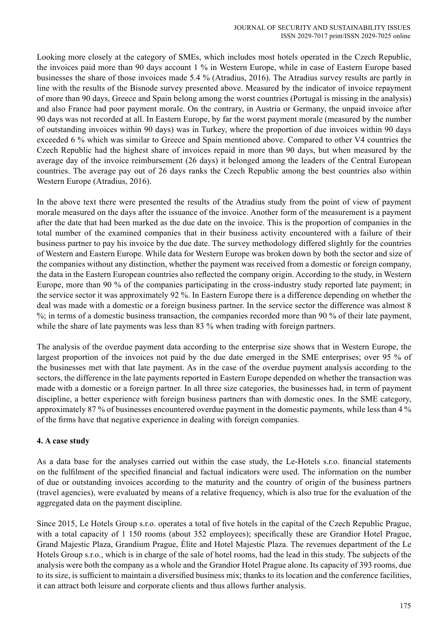Looking more closely at the category of SMEs, which includes most hotels operated in the Czech Republic, the invoices paid more than 90 days account 1 % in Western Europe, while in case of Eastern Europe based businesses the share of those invoices made 5.4 % (Atradius, 2016). The Atradius survey results are partly in line with the results of the Bisnode survey presented above. Measured by the indicator of invoice repayment of more than 90 days, Greece and Spain belong among the worst countries (Portugal is missing in the analysis) and also France had poor payment morale. On the contrary, in Austria or Germany, the unpaid invoice after 90 days was not recorded at all. In Eastern Europe, by far the worst payment morale (measured by the number of outstanding invoices within 90 days) was in Turkey, where the proportion of due invoices within 90 days exceeded 6 % which was similar to Greece and Spain mentioned above. Compared to other V4 countries the Czech Republic had the highest share of invoices repaid in more than 90 days, but when measured by the average day of the invoice reimbursement (26 days) it belonged among the leaders of the Central European countries. The average pay out of 26 days ranks the Czech Republic among the best countries also within Western Europe (Atradius, 2016).

In the above text there were presented the results of the Atradius study from the point of view of payment morale measured on the days after the issuance of the invoice. Another form of the measurement is a payment after the date that had been marked as the due date on the invoice. This is the proportion of companies in the total number of the examined companies that in their business activity encountered with a failure of their business partner to pay his invoice by the due date. The survey methodology differed slightly for the countries of Western and Eastern Europe. While data for Western Europe was broken down by both the sector and size of the companies without any distinction, whether the payment was received from a domestic or foreign company, the data in the Eastern European countries also reflected the company origin. According to the study, in Western Europe, more than 90 % of the companies participating in the cross-industry study reported late payment; in the service sector it was approximately 92 %. In Eastern Europe there is a difference depending on whether the deal was made with a domestic or a foreign business partner. In the service sector the difference was almost 8 %; in terms of a domestic business transaction, the companies recorded more than 90 % of their late payment, while the share of late payments was less than 83 % when trading with foreign partners.

The analysis of the overdue payment data according to the enterprise size shows that in Western Europe, the largest proportion of the invoices not paid by the due date emerged in the SME enterprises; over 95 % of the businesses met with that late payment. As in the case of the overdue payment analysis according to the sectors, the difference in the late payments reported in Eastern Europe depended on whether the transaction was made with a domestic or a foreign partner. In all three size categories, the businesses had, in term of payment discipline, a better experience with foreign business partners than with domestic ones. In the SME category, approximately 87 % of businesses encountered overdue payment in the domestic payments, while less than 4 % of the firms have that negative experience in dealing with foreign companies.

## **4. A case study**

As a data base for the analyses carried out within the case study, the Le-Hotels s.r.o. financial statements on the fulfilment of the specified financial and factual indicators were used. The information on the number of due or outstanding invoices according to the maturity and the country of origin of the business partners (travel agencies), were evaluated by means of a relative frequency, which is also true for the evaluation of the aggregated data on the payment discipline.

Since 2015, Le Hotels Group s.r.o. operates a total of five hotels in the capital of the Czech Republic Prague, with a total capacity of 1 150 rooms (about 352 employees); specifically these are Grandior Hotel Prague, Grand Majestic Plaza, Grandium Prague, Élite and Hotel Majestic Plaza. The revenues department of the Le Hotels Group s.r.o., which is in charge of the sale of hotel rooms, had the lead in this study. The subjects of the analysis were both the company as a whole and the Grandior Hotel Prague alone. Its capacity of 393 rooms, due to its size, is sufficient to maintain a diversified business mix; thanks to its location and the conference facilities, it can attract both leisure and corporate clients and thus allows further analysis.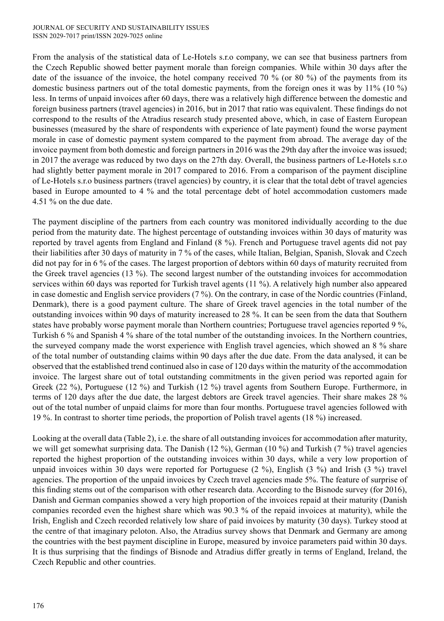#### JOURNAL OF SECURITY AND SUSTAINABILITY ISSUES ISSN 2029-7017 print/ISSN 2029-7025 online

From the analysis of the statistical data of Le-Hotels s.r.o company, we can see that business partners from the Czech Republic showed better payment morale than foreign companies. While within 30 days after the date of the issuance of the invoice, the hotel company received 70 % (or 80 %) of the payments from its domestic business partners out of the total domestic payments, from the foreign ones it was by 11% (10 %) less. In terms of unpaid invoices after 60 days, there was a relatively high difference between the domestic and foreign business partners (travel agencies) in 2016, but in 2017 that ratio was equivalent. These findings do not correspond to the results of the Atradius research study presented above, which, in case of Eastern European businesses (measured by the share of respondents with experience of late payment) found the worse payment morale in case of domestic payment system compared to the payment from abroad. The average day of the invoice payment from both domestic and foreign partners in 2016 was the 29th day after the invoice was issued; in 2017 the average was reduced by two days on the 27th day. Overall, the business partners of Le-Hotels s.r.o had slightly better payment morale in 2017 compared to 2016. From a comparison of the payment discipline of Le-Hotels s.r.o business partners (travel agencies) by country, it is clear that the total debt of travel agencies based in Europe amounted to 4 % and the total percentage debt of hotel accommodation customers made 4.51 % on the due date.

The payment discipline of the partners from each country was monitored individually according to the due period from the maturity date. The highest percentage of outstanding invoices within 30 days of maturity was reported by travel agents from England and Finland (8 %). French and Portuguese travel agents did not pay their liabilities after 30 days of maturity in 7 % of the cases, while Italian, Belgian, Spanish, Slovak and Czech did not pay for in 6 % of the cases. The largest proportion of debtors within 60 days of maturity recruited from the Greek travel agencies (13 %). The second largest number of the outstanding invoices for accommodation services within 60 days was reported for Turkish travel agents (11 %). A relatively high number also appeared in case domestic and English service providers (7 %). On the contrary, in case of the Nordic countries (Finland, Denmark), there is a good payment culture. The share of Greek travel agencies in the total number of the outstanding invoices within 90 days of maturity increased to 28 %. It can be seen from the data that Southern states have probably worse payment morale than Northern countries; Portuguese travel agencies reported 9 %, Turkish 6 % and Spanish 4 % share of the total number of the outstanding invoices. In the Northern countries, the surveyed company made the worst experience with English travel agencies, which showed an 8 % share of the total number of outstanding claims within 90 days after the due date. From the data analysed, it can be observed that the established trend continued also in case of 120 days within the maturity of the accommodation invoice. The largest share out of total outstanding commitments in the given period was reported again for Greek (22 %), Portuguese (12 %) and Turkish (12 %) travel agents from Southern Europe. Furthermore, in terms of 120 days after the due date, the largest debtors are Greek travel agencies. Their share makes 28 % out of the total number of unpaid claims for more than four months. Portuguese travel agencies followed with 19 %. In contrast to shorter time periods, the proportion of Polish travel agents (18 %) increased.

Looking at the overall data (Table 2), i.e. the share of all outstanding invoices for accommodation after maturity, we will get somewhat surprising data. The Danish (12 %), German (10 %) and Turkish (7 %) travel agencies reported the highest proportion of the outstanding invoices within 30 days, while a very low proportion of unpaid invoices within 30 days were reported for Portuguese (2 %), English (3 %) and Irish (3 %) travel agencies. The proportion of the unpaid invoices by Czech travel agencies made 5%. The feature of surprise of this finding stems out of the comparison with other research data. According to the Bisnode survey (for 2016), Danish and German companies showed a very high proportion of the invoices repaid at their maturity (Danish companies recorded even the highest share which was 90.3 % of the repaid invoices at maturity), while the Irish, English and Czech recorded relatively low share of paid invoices by maturity (30 days). Turkey stood at the centre of that imaginary peloton. Also, the Atradius survey shows that Denmark and Germany are among the countries with the best payment discipline in Europe, measured by invoice parameters paid within 30 days. It is thus surprising that the findings of Bisnode and Atradius differ greatly in terms of England, Ireland, the Czech Republic and other countries.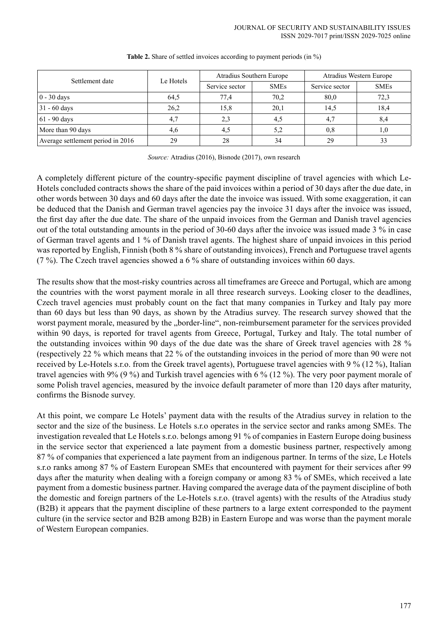| Settlement date                   | Le Hotels |                | Atradius Southern Europe | Atradius Western Europe |             |  |
|-----------------------------------|-----------|----------------|--------------------------|-------------------------|-------------|--|
|                                   |           | Service sector | <b>SMEs</b>              | Service sector          | <b>SMEs</b> |  |
| $\vert 0 - 30 \text{ days}$       | 64,5      | 77,4           | 70,2                     | 80,0                    | 72,3        |  |
| $31 - 60$ days                    | 26,2      | 15,8           | 20,1                     | 14,5                    | 18,4        |  |
| $61 - 90$ days                    | 4.7       | 2.3            | 4,5                      | 4,7                     | 8,4         |  |
| More than 90 days                 | 4,6       | 4,5            | 5,2                      | 0,8                     | 1,0         |  |
| Average settlement period in 2016 | 29        | 28             | 34                       | 29                      | 33          |  |

#### **Table 2.** Share of settled invoices according to payment periods (in %)

*Source:* Atradius (2016), Bisnode (2017), own research

A completely different picture of the country-specific payment discipline of travel agencies with which Le-Hotels concluded contracts shows the share of the paid invoices within a period of 30 days after the due date, in other words between 30 days and 60 days after the date the invoice was issued. With some exaggeration, it can be deduced that the Danish and German travel agencies pay the invoice 31 days after the invoice was issued, the first day after the due date. The share of the unpaid invoices from the German and Danish travel agencies out of the total outstanding amounts in the period of 30-60 days after the invoice was issued made 3 % in case of German travel agents and 1 % of Danish travel agents. The highest share of unpaid invoices in this period was reported by English, Finnish (both 8 % share of outstanding invoices), French and Portuguese travel agents (7 %). The Czech travel agencies showed a 6 % share of outstanding invoices within 60 days.

The results show that the most-risky countries across all timeframes are Greece and Portugal, which are among the countries with the worst payment morale in all three research surveys. Looking closer to the deadlines, Czech travel agencies must probably count on the fact that many companies in Turkey and Italy pay more than 60 days but less than 90 days, as shown by the Atradius survey. The research survey showed that the worst payment morale, measured by the "border-line", non-reimbursement parameter for the services provided within 90 days, is reported for travel agents from Greece, Portugal, Turkey and Italy. The total number of the outstanding invoices within 90 days of the due date was the share of Greek travel agencies with 28 % (respectively 22 % which means that 22 % of the outstanding invoices in the period of more than 90 were not received by Le-Hotels s.r.o. from the Greek travel agents), Portuguese travel agencies with 9 % (12 %), Italian travel agencies with 9% (9 %) and Turkish travel agencies with 6 % (12 %). The very poor payment morale of some Polish travel agencies, measured by the invoice default parameter of more than 120 days after maturity, confirms the Bisnode survey.

At this point, we compare Le Hotels' payment data with the results of the Atradius survey in relation to the sector and the size of the business. Le Hotels s.r.o operates in the service sector and ranks among SMEs. The investigation revealed that Le Hotels s.r.o. belongs among 91 % of companies in Eastern Europe doing business in the service sector that experienced a late payment from a domestic business partner, respectively among 87 % of companies that experienced a late payment from an indigenous partner. In terms of the size, Le Hotels s.r.o ranks among 87 % of Eastern European SMEs that encountered with payment for their services after 99 days after the maturity when dealing with a foreign company or among 83 % of SMEs, which received a late payment from a domestic business partner. Having compared the average data of the payment discipline of both the domestic and foreign partners of the Le-Hotels s.r.o. (travel agents) with the results of the Atradius study (B2B) it appears that the payment discipline of these partners to a large extent corresponded to the payment culture (in the service sector and B2B among B2B) in Eastern Europe and was worse than the payment morale of Western European companies.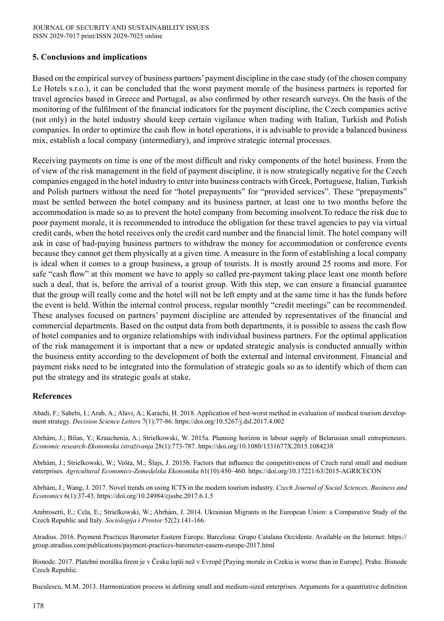#### **5. Conclusions and implications**

Based on the empirical survey of business partners' payment discipline in the case study (of the chosen company Le Hotels s.r.o.), it can be concluded that the worst payment morale of the business partners is reported for travel agencies based in Greece and Portugal, as also confirmed by other research surveys. On the basis of the monitoring of the fulfilment of the financial indicators for the payment discipline, the Czech companies active (not only) in the hotel industry should keep certain vigilance when trading with Italian, Turkish and Polish companies. In order to optimize the cash flow in hotel operations, it is advisable to provide a balanced business mix, establish a local company (intermediary), and improve strategic internal processes.

Receiving payments on time is one of the most difficult and risky components of the hotel business. From the of view of the risk management in the field of payment discipline, it is now strategically negative for the Czech companies engaged in the hotel industry to enter into business contracts with Greek, Portuguese, Italian, Turkish and Polish partners without the need for "hotel prepayments" for "provided services". These "prepayments" must be settled between the hotel company and its business partner, at least one to two months before the accommodation is made so as to prevent the hotel company from becoming insolvent.To reduce the risk due to poor payment morale, it is recommended to introduce the obligation for these travel agencies to pay via virtual credit cards, when the hotel receives only the credit card number and the financial limit. The hotel company will ask in case of bad-paying business partners to withdraw the money for accommodation or conference events because they cannot get them physically at a given time. A measure in the form of establishing a local company is ideal when it comes to a group business, a group of tourists. It is mostly around 25 rooms and more. For safe "cash flow" at this moment we have to apply so called pre-payment taking place least one month before such a deal, that is, before the arrival of a tourist group. With this step, we can ensure a financial guarantee that the group will really come and the hotel will not be left empty and at the same time it has the funds before the event is held. Within the internal control process, regular monthly "credit meetings" can be recommended. These analyses focused on partners' payment discipline are attended by representatives of the financial and commercial departments. Based on the output data from both departments, it is possible to assess the cash flow of hotel companies and to organize relationships with individual business partners. For the optimal application of the risk management it is important that a new or updated strategic analysis is conducted annually within the business entity according to the development of both the external and internal environment. Financial and payment risks need to be integrated into the formulation of strategic goals so as to identify which of them can put the strategy and its strategic goals at stake.

#### **References**

Abadi, F.; Sahebi, I.; Arab, A.; Alavi, A.; Karachi, H. 2018. Application of best-worst method in evaluation of medical tourism development strategy. *Decision Science Letters* 7(1):77-86. https://doi.org/10.5267/j.dsl.2017.4.002

Abrhám, J.; Bilan, Y.; Krauchenia, A.; Strielkowski, W. 2015a. Planning horizon in labour supply of Belarusian small entrepreneurs. *Economic research-Ekonomska istraživanja* 28(1):773-787. https://doi.org/10.1080/1331677X.2015.1084238

Abrhám, J.; Strielkowski, W.; Vošta, M.; Šlajs, J. 2015b. Factors that influence the competitiveness of Czech rural small and medium enterprises. *Agricultural Economics-Zemedelska Ekonomika* 61(10):450–460. https://doi.org/10.17221/63/2015-AGRICECON

Abrhám, J.; Wang, J. 2017. Novel trends on using ICTS in the modern tourism industry. *Czech Journal of Social Sciences, Business and Economics* 6(1):37-43. https://doi.org/10.24984/cjssbe.2017.6.1.5

Ambrosetti, E.; Cela, E.; Strielkowski, W.; Abrhám, J. 2014. Ukrainian Migrants in the European Union: a Comparative Study of the Czech Republic and Italy. *Sociologija i Prostor* 52(2):141-166.

Atradius. 2016. Payment Practices Barometer Eastern Europe. Barcelona: Grupo Catalana Occidente. Available on the Internet: https:// group.atradius.com/publications/payment-practices-barometer-easern-europe-2017.html

Bisnode. 2017. Platební morálka firem je v Česku lepší než v Evropě [Paying morale in Czekia is worse than in Europe]. Praha: Bisnode Czech Republic.

Buculescu, M.M. 2013. Harmonization process in defining small and medium-sized enterprises. Arguments for a quantitative definition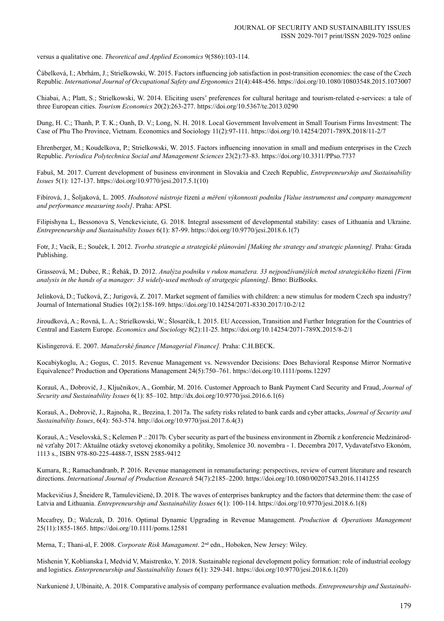versus a qualitative one. *Theoretical and Applied Economics* 9(586):103-114.

Čábelková, I.; Abrhám, J.; Strielkowski, W. 2015. Factors influencing job satisfaction in post-transition economies: the case of the Czech Republic. *International Journal of Occupational Safety and Ergonomics* 21(4):448-456. https://doi.org/10.1080/10803548.2015.1073007

Chiabai, A.; Platt, S.; Strielkowski, W. 2014. Eliciting users' preferences for cultural heritage and tourism-related e-services: a tale of three European cities. *Tourism Economics* 20(2):263-277. https://doi.org/10.5367/te.2013.0290

Dung, H. C.; Thanh, P. T. K.; Oanh, D. V.; Long, N. H. 2018. Local Government Involvement in Small Tourism Firms Investment: The Case of Phu Tho Province, Vietnam. Economics and Sociology 11(2):97-111. https://doi.org/10.14254/2071-789X.2018/11-2/7

Ehrenberger, M.; Koudelkova, P.; Strielkowski, W. 2015. Factors influencing innovation in small and medium enterprises in the Czech Republic. *Periodica Polytechnica Social and Management Sciences* 23(2):73-83. https://doi.org/10.3311/PPso.7737

Fabuš, M. 2017. Current development of business environment in Slovakia and Czech Republic, *Entrepreneurship and Sustainability Issues* 5(1): 127-137. https://doi.org/10.9770/jesi.2017.5.1(10)

Fibírová, J., Šoljaková, L. 2005. *Hodnotové nástroje* řízení *a měření výkonnosti podniku [Value instrumenst and company management and performance measuring tools]*. Praha: APSI.

Filipishyna L, Bessonova S, Venckeviciute, G. 2018. Integral assessment of developmental stability: cases of Lithuania and Ukraine. *Entrepreneurship and Sustainability Issues* 6(1): 87-99. https://doi.org/10.9770/jesi.2018.6.1(7)

Fotr, J.; Vacík, E.; Souček, I. 2012. *Tvorba strategie a strategické plánování [Making the strategy and strategic planning].* Praha: Grada Publishing.

Grasseová, M.; Dubec, R.; Řehák, D. 2012. *Analýza podniku v rukou manažera. 33 nejpoužívanějších metod strategického* řízení *[Firm analysis in the hands of a manager: 33 widely-used methods of stratgegic planning]*. Brno: BizBooks.

Jelínková, D.; Tučková, Z.; Jurigová, Z. 2017. Market segment of families with children: a new stimulus for modern Czech spa industry? Journal of International Studies 10(2):158-169. https://doi.org/10.14254/2071-8330.2017/10-2/12

Jiroudková, A.; Rovná, L. A.; Strielkowski, W.; Šlosarčík, I. 2015. EU Accession, Transition and Further Integration for the Countries of Central and Eastern Europe. *Economics and Sociology* 8(2):11-25. https://doi.org/10.14254/2071-789X.2015/8-2/1

Kislingerová. E. 2007. *Manažerské finance [Managerial Finance].* Praha: C.H.BECK.

Kocabiykoglu, A.; Gogus, C. 2015. Revenue Management vs. Newsvendor Decisions: Does Behavioral Response Mirror Normative Equivalence? Production and Operations Management 24(5):750–761. https://doi.org/10.1111/poms.12297

Korauš, A., Dobrovič, J., Ključnikov, A., Gombár, M. 2016. Customer Approach to Bank Payment Card Security and Fraud, *Journal of Security and Sustainability Issues* 6(1): 85–102. http://dx.doi.org/10.9770/jssi.2016.6.1(6)

Korauš, A., Dobrovič, J., Rajnoha, R., Brezina, I. 2017a. The safety risks related to bank cards and cyber attacks, *Journal of Security and Sustainability Issues*, 6(4): 563-574. http://doi.org/10.9770/jssi.2017.6.4(3)

Korauš, A.; Veselovská, S.; Kelemen P .: 2017b. Cyber security as part of the business environment in Zborník z konferencie Medzinárodné vzťahy 2017: Aktuálne otázky svetovej ekonomiky a politiky, Smolenice 30. novembra - 1. Decembra 2017, Vydavateľstvo Ekonóm, 1113 s., ISBN 978-80-225-4488-7, ISSN 2585-9412

Kumara, R.; Ramachandranb, P. 2016. Revenue management in remanufacturing: perspectives, review of current literature and research directions. *International Journal of Production Research* 54(7):2185–2200. https://doi.org/10.1080/00207543.2016.1141255

Mackevičius J, Šneidere R, Tamulevičienė, D. 2018. The waves of enterprises bankruptcy and the factors that determine them: the case of Latvia and Lithuania. *Entrepreneurship and Sustainability Issues* 6(1): 100-114. https://doi.org/10.9770/jesi.2018.6.1(8)

Mccafrey, D.; Walczak, D. 2016. Optimal Dynamic Upgrading in Revenue Management. *Production & Operations Management* 25(11):1855-1865. https://doi.org/10.1111/poms.12581

Merna, T.; Thani-al, F. 2008. *Corporate Risk Managament*. 2nd edn., Hoboken, New Jersey: Wiley.

Mishenin Y, Koblianska I, Medvid V, Maistrenko, Y. 2018. Sustainable regional development policy formation: role of industrial ecology and logistics. *Enterpreneurship and Sustainability Issues* 6(1): 329-341. https://doi.org/10.9770/jesi.2018.6.1(20)

Narkunienė J, Ulbinaitė, A. 2018. Comparative analysis of company performance evaluation methods. *Entrepreneurship and Sustainabi-*